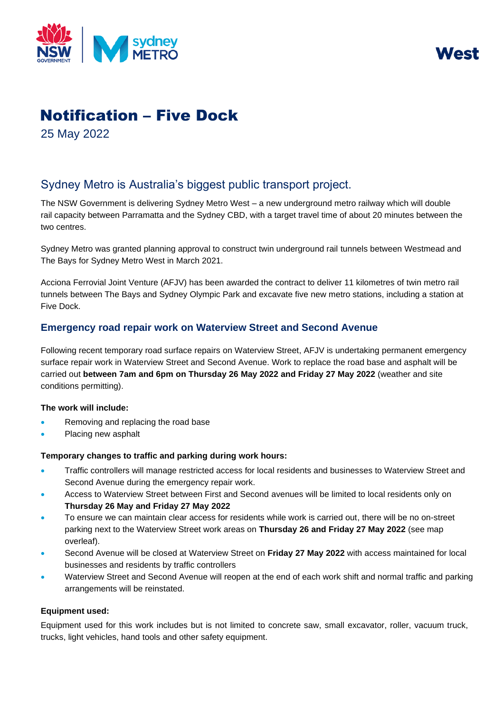



# Notification – Five Dock

25 May 2022

# Sydney Metro is Australia's biggest public transport project.

The NSW Government is delivering Sydney Metro West – a new underground metro railway which will double rail capacity between Parramatta and the Sydney CBD, with a target travel time of about 20 minutes between the two centres.

Sydney Metro was granted planning approval to construct twin underground rail tunnels between Westmead and The Bays for Sydney Metro West in March 2021.

Acciona Ferrovial Joint Venture (AFJV) has been awarded the contract to deliver 11 kilometres of twin metro rail tunnels between The Bays and Sydney Olympic Park and excavate five new metro stations, including a station at Five Dock.

# **Emergency road repair work on Waterview Street and Second Avenue**

Following recent temporary road surface repairs on Waterview Street, AFJV is undertaking permanent emergency surface repair work in Waterview Street and Second Avenue. Work to replace the road base and asphalt will be carried out **between 7am and 6pm on Thursday 26 May 2022 and Friday 27 May 2022** (weather and site conditions permitting).

## **The work will include:**

- Removing and replacing the road base
- Placing new asphalt

## **Temporary changes to traffic and parking during work hours:**

- Traffic controllers will manage restricted access for local residents and businesses to Waterview Street and Second Avenue during the emergency repair work.
- Access to Waterview Street between First and Second avenues will be limited to local residents only on **Thursday 26 May and Friday 27 May 2022**
- To ensure we can maintain clear access for residents while work is carried out, there will be no on-street parking next to the Waterview Street work areas on **Thursday 26 and Friday 27 May 2022** (see map overleaf).
- Second Avenue will be closed at Waterview Street on **Friday 27 May 2022** with access maintained for local businesses and residents by traffic controllers
- Waterview Street and Second Avenue will reopen at the end of each work shift and normal traffic and parking arrangements will be reinstated.

#### **Equipment used:**

Equipment used for this work includes but is not limited to concrete saw, small excavator, roller, vacuum truck, trucks, light vehicles, hand tools and other safety equipment.